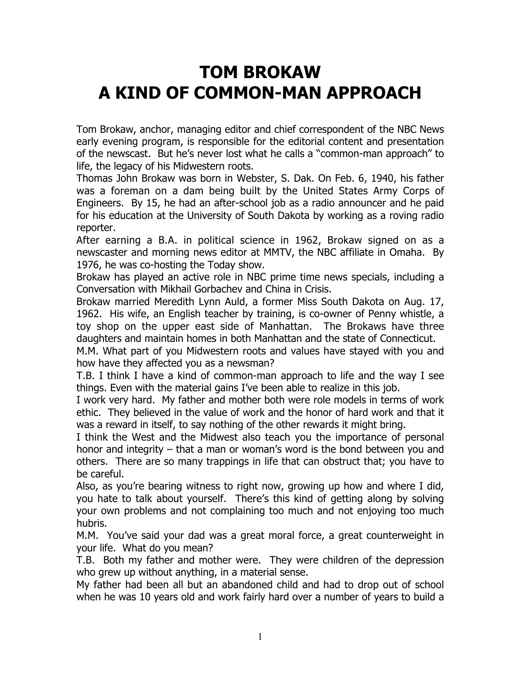## **TOM BROKAW A KIND OF COMMON-MAN APPROACH**

Tom Brokaw, anchor, managing editor and chief correspondent of the NBC News early evening program, is responsible for the editorial content and presentation of the newscast. But he's never lost what he calls a "common-man approach" to life, the legacy of his Midwestern roots.

Thomas John Brokaw was born in Webster, S. Dak. On Feb. 6, 1940, his father was a foreman on a dam being built by the United States Army Corps of Engineers. By 15, he had an after-school job as a radio announcer and he paid for his education at the University of South Dakota by working as a roving radio reporter.

After earning a B.A. in political science in 1962, Brokaw signed on as a newscaster and morning news editor at MMTV, the NBC affiliate in Omaha. By 1976, he was co-hosting the Today show.

Brokaw has played an active role in NBC prime time news specials, including a Conversation with Mikhail Gorbachev and China in Crisis.

Brokaw married Meredith Lynn Auld, a former Miss South Dakota on Aug. 17, 1962. His wife, an English teacher by training, is co-owner of Penny whistle, a toy shop on the upper east side of Manhattan. The Brokaws have three daughters and maintain homes in both Manhattan and the state of Connecticut.

M.M. What part of you Midwestern roots and values have stayed with you and how have they affected you as a newsman?

T.B. I think I have a kind of common-man approach to life and the way I see things. Even with the material gains I've been able to realize in this job.

I work very hard. My father and mother both were role models in terms of work ethic. They believed in the value of work and the honor of hard work and that it was a reward in itself, to say nothing of the other rewards it might bring.

I think the West and the Midwest also teach you the importance of personal honor and integrity – that a man or woman's word is the bond between you and others. There are so many trappings in life that can obstruct that; you have to be careful.

Also, as you're bearing witness to right now, growing up how and where I did, you hate to talk about yourself. There's this kind of getting along by solving your own problems and not complaining too much and not enjoying too much hubris.

M.M. You've said your dad was a great moral force, a great counterweight in your life. What do you mean?

T.B. Both my father and mother were. They were children of the depression who grew up without anything, in a material sense.

My father had been all but an abandoned child and had to drop out of school when he was 10 years old and work fairly hard over a number of years to build a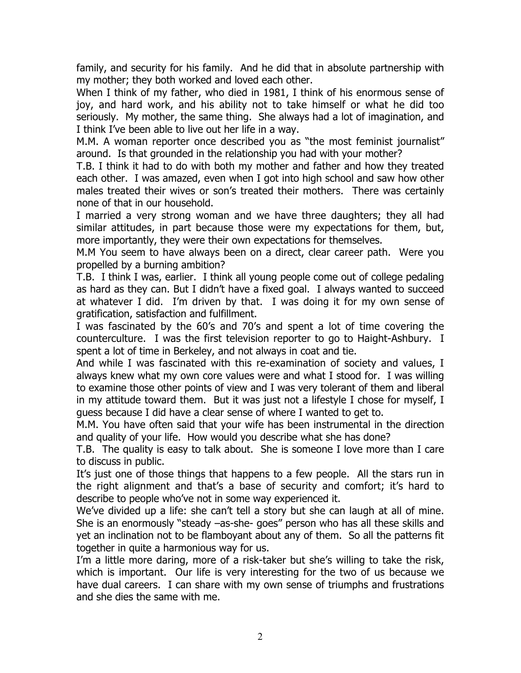family, and security for his family. And he did that in absolute partnership with my mother; they both worked and loved each other.

When I think of my father, who died in 1981, I think of his enormous sense of joy, and hard work, and his ability not to take himself or what he did too seriously. My mother, the same thing. She always had a lot of imagination, and I think I've been able to live out her life in a way.

M.M. A woman reporter once described you as "the most feminist journalist" around. Is that grounded in the relationship you had with your mother?

T.B. I think it had to do with both my mother and father and how they treated each other. I was amazed, even when I got into high school and saw how other males treated their wives or son's treated their mothers. There was certainly none of that in our household.

I married a very strong woman and we have three daughters; they all had similar attitudes, in part because those were my expectations for them, but, more importantly, they were their own expectations for themselves.

M.M You seem to have always been on a direct, clear career path. Were you propelled by a burning ambition?

T.B. I think I was, earlier. I think all young people come out of college pedaling as hard as they can. But I didn't have a fixed goal. I always wanted to succeed at whatever I did. I'm driven by that. I was doing it for my own sense of gratification, satisfaction and fulfillment.

I was fascinated by the 60's and 70's and spent a lot of time covering the counterculture. I was the first television reporter to go to Haight-Ashbury. I spent a lot of time in Berkeley, and not always in coat and tie.

And while I was fascinated with this re-examination of society and values, I always knew what my own core values were and what I stood for. I was willing to examine those other points of view and I was very tolerant of them and liberal in my attitude toward them. But it was just not a lifestyle I chose for myself, I guess because I did have a clear sense of where I wanted to get to.

M.M. You have often said that your wife has been instrumental in the direction and quality of your life. How would you describe what she has done?

T.B. The quality is easy to talk about. She is someone I love more than I care to discuss in public.

It's just one of those things that happens to a few people. All the stars run in the right alignment and that's a base of security and comfort; it's hard to describe to people who've not in some way experienced it.

We've divided up a life: she can't tell a story but she can laugh at all of mine. She is an enormously "steady –as-she- goes" person who has all these skills and yet an inclination not to be flamboyant about any of them. So all the patterns fit together in quite a harmonious way for us.

I'm a little more daring, more of a risk-taker but she's willing to take the risk, which is important. Our life is very interesting for the two of us because we have dual careers. I can share with my own sense of triumphs and frustrations and she dies the same with me.